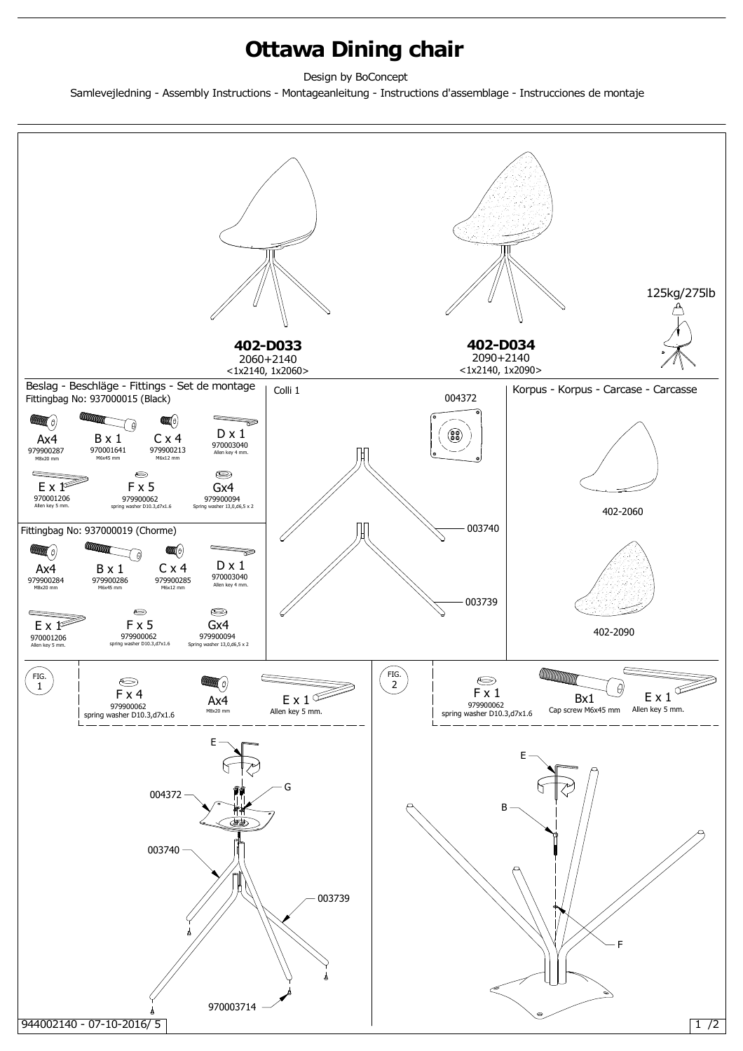## **Ottawa Dining chair**

Design by BoConcept

Samlevejledning - Assembly Instructions - Montageanleitung - Instructions d'assemblage - Instrucciones de montaje